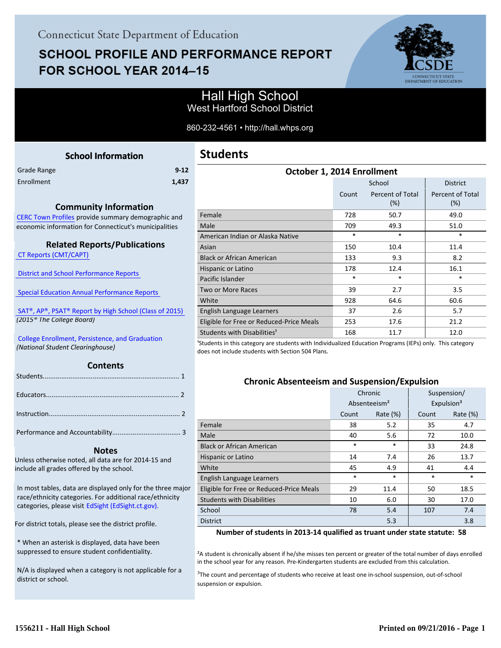# **SCHOOL PROFILE AND PERFORMANCE REPORT** FOR SCHOOL YEAR 2014-15



## Hall High School West Hartford School District

860-232-4561 • http://hall.whps.org

<span id="page-0-0"></span>

| <b>School Information</b>                                                           | Students                                                            |
|-------------------------------------------------------------------------------------|---------------------------------------------------------------------|
| $9 - 12$<br>Grade Range                                                             |                                                                     |
| Enrollment<br>1,437                                                                 |                                                                     |
|                                                                                     |                                                                     |
| <b>Community Information</b>                                                        |                                                                     |
| CERC Town Profiles provide summary demographic and                                  | Female                                                              |
| economic information for Connecticut's municipalities                               | Male                                                                |
|                                                                                     | American Indian or Al                                               |
| <b>Related Reports/Publications</b>                                                 | Asian                                                               |
| <b>CT Reports (CMT/CAPT)</b>                                                        | <b>Black or African Amer</b>                                        |
|                                                                                     | Hispanic or Latino                                                  |
| <b>District and School Performance Reports</b>                                      | Pacific Islander                                                    |
| <b>Special Education Annual Performance Reports</b>                                 | Two or More Races                                                   |
|                                                                                     | White                                                               |
| SAT®, AP®, PSAT® Report by High School (Class of 2015)                              | English Language Lear                                               |
| (2015 <sup>®</sup> The College Board)                                               | Eligible for Free or Re                                             |
|                                                                                     | <b>Students with Disabili</b>                                       |
| College Enrollment, Persistence, and Graduation<br>(National Student Clearinghouse) | <sup>1</sup> Students in this category<br>does not include student: |
|                                                                                     |                                                                     |
| <b>Contents</b>                                                                     |                                                                     |
|                                                                                     | Chro                                                                |
|                                                                                     |                                                                     |
|                                                                                     |                                                                     |
|                                                                                     | <b>Lomala</b>                                                       |
|                                                                                     |                                                                     |

Performance and Accountability..................................... 3 .

#### **Notes**

Unless otherwise noted, all data are for 2014-15 and include all grades offered by the school.

[In most tables, data are displayed only for the three major](http://edsight.ct.gov) race/ethnicity categories. For additional race/ethnicity categories, please visit EdSight (EdSight.ct.gov).

For district totals, please see the district profile.

\* When an asterisk is displayed, data have been suppressed to ensure student confidentiality.

N/A is displayed when a category is not applicable for a district or school.

# **Students**

| October 1, 2014 Enrollment               |        |                         |                                |  |
|------------------------------------------|--------|-------------------------|--------------------------------|--|
|                                          |        | School                  | <b>District</b>                |  |
|                                          | Count  | Percent of Total<br>(%) | <b>Percent of Total</b><br>(%) |  |
| Female                                   | 728    | 50.7                    | 49.0                           |  |
| Male                                     | 709    | 49.3                    | 51.0                           |  |
| American Indian or Alaska Native         | $\ast$ | $\ast$                  | $\ast$                         |  |
| Asian                                    | 150    | 10.4                    | 11.4                           |  |
| <b>Black or African American</b>         | 133    | 9.3                     | 8.2                            |  |
| Hispanic or Latino                       | 178    | 12.4                    | 16.1                           |  |
| Pacific Islander                         | $\ast$ | $\ast$                  | $\ast$                         |  |
| Two or More Races                        | 39     | 2.7                     | 3.5                            |  |
| White                                    | 928    | 64.6                    | 60.6                           |  |
| English Language Learners                | 37     | 2.6                     | 5.7                            |  |
| Eligible for Free or Reduced-Price Meals | 253    | 17.6                    | 21.2                           |  |
| Students with Disabilities <sup>1</sup>  | 168    | 11.7                    | 12.0                           |  |

are students with Individualized Education Programs (IEPs) only. This category s with Section 504 Plans.

#### **Chronic Absenteeism and Suspension/Expulsion**

|                                          | Chronic |                          | Suspension/            |             |
|------------------------------------------|---------|--------------------------|------------------------|-------------|
|                                          |         | Absenteeism <sup>2</sup> | Expulsion <sup>3</sup> |             |
|                                          | Count   | Rate $(\%)$              | Count                  | Rate $(\%)$ |
| Female                                   | 38      | 5.2                      | 35                     | 4.7         |
| Male                                     | 40      | 5.6                      | 72                     | 10.0        |
| <b>Black or African American</b>         | $\ast$  | $\ast$                   | 33                     | 24.8        |
| Hispanic or Latino                       | 14      | 7.4                      | 26                     | 13.7        |
| White                                    | 45      | 4.9                      | 41                     | 4.4         |
| English Language Learners                | $\ast$  | $\ast$                   | $\ast$                 | $\ast$      |
| Eligible for Free or Reduced-Price Meals | 29      | 11.4                     | 50                     | 18.5        |
| <b>Students with Disabilities</b>        | 10      | 6.0                      | 30                     | 17.0        |
| School                                   | 78      | 5.4                      | 107                    | 7.4         |
| <b>District</b>                          |         | 5.3                      |                        | 3.8         |

#### **Number of students in 2013-14 qualified as truant under state statute: 58**

<sup>2</sup>A student is chronically absent if he/she misses ten percent or greater of the total number of days enrolled in the school year for any reason. Pre-Kindergarten students are excluded from this calculation.

<sup>3</sup>The count and percentage of students who receive at least one in-school suspension, out-of-school suspension or expulsion.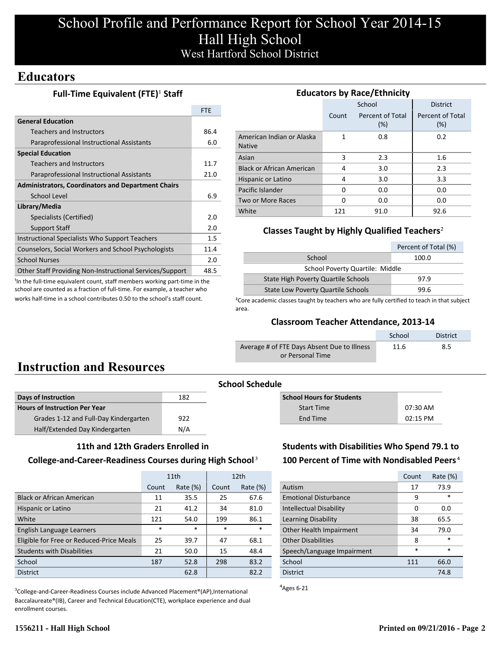# **Educators**

## **Full-Time Equivalent (FTE)<sup>1</sup> Staff**

|                                                           | <b>FTE</b> |
|-----------------------------------------------------------|------------|
| <b>General Education</b>                                  |            |
| Teachers and Instructors                                  | 86.4       |
| Paraprofessional Instructional Assistants                 | 6.0        |
| <b>Special Education</b>                                  |            |
| Teachers and Instructors                                  | 11.7       |
| Paraprofessional Instructional Assistants                 | 21.0       |
| <b>Administrators, Coordinators and Department Chairs</b> |            |
| School Level                                              | 6.9        |
| Library/Media                                             |            |
| Specialists (Certified)                                   | 2.0        |
| <b>Support Staff</b>                                      | 2.0        |
| Instructional Specialists Who Support Teachers            | $1.5\,$    |
| Counselors, Social Workers and School Psychologists       | 11.4       |
| <b>School Nurses</b>                                      | 2.0        |
| Other Staff Providing Non-Instructional Services/Support  | 48.5       |

<sup>1</sup>In the full-time equivalent count, staff members working part-time in the school are counted as a fraction of full-time. For example, a teacher who works half-time in a school contributes 0.50 to the school's staff count.

| <b>Educators by Race/Ethnicity</b>         |       |                         |                         |  |  |
|--------------------------------------------|-------|-------------------------|-------------------------|--|--|
|                                            |       | School                  | <b>District</b>         |  |  |
|                                            | Count | Percent of Total<br>(%) | Percent of Total<br>(%) |  |  |
| American Indian or Alaska<br><b>Native</b> | 1     | 0.8                     | 0.2                     |  |  |
| Asian                                      | 3     | 2.3                     | 1.6                     |  |  |
| <b>Black or African American</b>           | 4     | 3.0                     | 2.3                     |  |  |
| Hispanic or Latino                         | 4     | 3.0                     | 3.3                     |  |  |
| Pacific Islander                           | O     | 0.0                     | 0.0                     |  |  |
| Two or More Races                          | O     | 0.0                     | 0.0                     |  |  |
| White                                      | 121   | 91.0                    | 92.6                    |  |  |

## **Classes Taught by Highly Qualified Teachers**²

|                                            | Percent of Total (%) |  |  |
|--------------------------------------------|----------------------|--|--|
| School                                     | 100.0                |  |  |
| School Poverty Quartile: Middle            |                      |  |  |
| <b>State High Poverty Quartile Schools</b> | 97.9                 |  |  |
| <b>State Low Poverty Quartile Schools</b>  | 99 R                 |  |  |

<sup>2</sup>Core academic classes taught by teachers who are fully certified to teach in that subject area.

### **Classroom Teacher Attendance, 2013-14**

|                                             | School | <b>District</b> |
|---------------------------------------------|--------|-----------------|
| Average # of FTE Days Absent Due to Illness | 11.6   | 8.5             |
| or Personal Time                            |        |                 |

# **Instruction and Resources**

| Days of Instruction                   | 182 |
|---------------------------------------|-----|
| <b>Hours of Instruction Per Year</b>  |     |
| Grades 1-12 and Full-Day Kindergarten | 922 |
| Half/Extended Day Kindergarten        | N/A |

|  |  | 11th and 12th Graders Enrolled in |
|--|--|-----------------------------------|
|  |  |                                   |

#### **College-and-Career-Readiness Courses during High School**³

|                                          | 11th   |             | 12 <sub>th</sub> |             |
|------------------------------------------|--------|-------------|------------------|-------------|
|                                          | Count  | Rate $(\%)$ |                  | Rate $(\%)$ |
| <b>Black or African American</b>         | 11     | 35.5        | 25               | 67.6        |
| Hispanic or Latino                       | 21     | 41.2        | 34               | 81.0        |
| White                                    | 121    | 54.0        | 199              | 86.1        |
| English Language Learners                | $\ast$ | $\ast$      | $\ast$           | $\ast$      |
| Eligible for Free or Reduced-Price Meals | 25     | 39.7        | 47               | 68.1        |
| <b>Students with Disabilities</b>        | 21     | 50.0        | 15               | 48.4        |
| School                                   | 187    | 52.8        | 298              | 83.2        |
| <b>District</b>                          |        | 62.8        |                  | 82.2        |

<sup>3</sup>College-and-Career-Readiness Courses include Advanced Placement®(AP),International Baccalaureate®(IB), Career and Technical Education(CTE), workplace experience and dual enrollment courses.

**School Schedule**

| <b>School Hours for Students</b> |            |
|----------------------------------|------------|
| <b>Start Time</b>                | 07:30 AM   |
| End Time                         | $02:15$ PM |

## **Students with Disabilities Who Spend 79.1 to 100 Percent of Time with Nondisabled Peers**⁴

|                              | Count  | Rate $(\%)$ |
|------------------------------|--------|-------------|
| Autism                       | 17     | 73.9        |
| <b>Emotional Disturbance</b> | 9      | $\ast$      |
| Intellectual Disability      | 0      | 0.0         |
| Learning Disability          | 38     | 65.5        |
| Other Health Impairment      | 34     | 79.0        |
| <b>Other Disabilities</b>    | 8      | $\ast$      |
| Speech/Language Impairment   | $\ast$ | $\ast$      |
| School                       | 111    | 66.0        |
| <b>District</b>              |        | 74.8        |

 $A$ <sub>Ages</sub> 6-21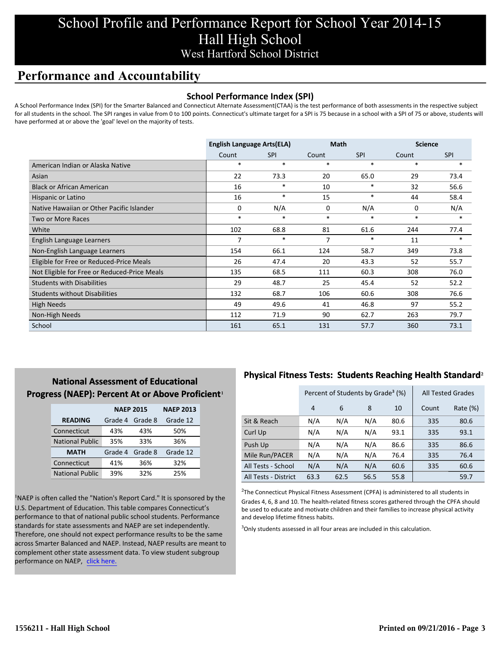# **Performance and Accountability**

### **School Performance Index (SPI)**

A School Performance Index (SPI) for the Smarter Balanced and Connecticut Alternate Assessment(CTAA) is the test performance of both assessments in the respective subject for all students in the school. The SPI ranges in value from 0 to 100 points. Connecticut's ultimate target for a SPI is 75 because in a school with a SPI of 75 or above, students will have performed at or above the 'goal' level on the majority of tests.

|                                              | <b>English Language Arts(ELA)</b> |            |        | <b>Math</b> |        | <b>Science</b> |
|----------------------------------------------|-----------------------------------|------------|--------|-------------|--------|----------------|
|                                              | Count                             | <b>SPI</b> | Count  | <b>SPI</b>  | Count  | <b>SPI</b>     |
| American Indian or Alaska Native             | $\ast$                            | $\ast$     | $\ast$ | $\ast$      | $\ast$ | $\ast$         |
| Asian                                        | 22                                | 73.3       | 20     | 65.0        | 29     | 73.4           |
| <b>Black or African American</b>             | 16                                | $\ast$     | 10     | $\ast$      | 32     | 56.6           |
| Hispanic or Latino                           | 16                                | $\ast$     | 15     | $\ast$      | 44     | 58.4           |
| Native Hawaiian or Other Pacific Islander    | 0                                 | N/A        | 0      | N/A         | 0      | N/A            |
| Two or More Races                            | $\ast$                            | $\ast$     | $\ast$ | $\ast$      | $\ast$ | $\ast$         |
| White                                        | 102                               | 68.8       | 81     | 61.6        | 244    | 77.4           |
| English Language Learners                    | 7                                 | $\ast$     | 7      | $\ast$      | 11     | $*$            |
| Non-English Language Learners                | 154                               | 66.1       | 124    | 58.7        | 349    | 73.8           |
| Eligible for Free or Reduced-Price Meals     | 26                                | 47.4       | 20     | 43.3        | 52     | 55.7           |
| Not Eligible for Free or Reduced-Price Meals | 135                               | 68.5       | 111    | 60.3        | 308    | 76.0           |
| <b>Students with Disabilities</b>            | 29                                | 48.7       | 25     | 45.4        | 52     | 52.2           |
| <b>Students without Disabilities</b>         | 132                               | 68.7       | 106    | 60.6        | 308    | 76.6           |
| <b>High Needs</b>                            | 49                                | 49.6       | 41     | 46.8        | 97     | 55.2           |
| Non-High Needs                               | 112                               | 71.9       | 90     | 62.7        | 263    | 79.7           |
| School                                       | 161                               | 65.1       | 131    | 57.7        | 360    | 73.1           |

## **National Assessment of Educational Progress (NAEP): Percent At or Above Proficient1**

|                        | <b>NAEP 2015</b> | <b>NAEP 2013</b> |          |
|------------------------|------------------|------------------|----------|
| <b>READING</b>         | Grade 4          | Grade 8          | Grade 12 |
| Connecticut            | 43%              | 43%              | 50%      |
| <b>National Public</b> | 35%              | 33%              | 36%      |
| <b>MATH</b>            | Grade 4          | Grade 8          | Grade 12 |
| Connecticut            | 41%              | 36%              | 32%      |
| <b>National Public</b> | 39%              | 32%              | 25%      |

<sup>1</sup>NAEP is often called the "Nation's Report Card." It is sponsored by the U.S. Department of Education. This table compares Connecticut's performance to that of national public school students. Performance standards for state assessments and NAEP are set independently. Therefore, one should not expect performance results to be the same across Smarter Balanced and NAEP. Instead, NAEP results are meant to complement other state assessment data. To view student subgroup performance on NAEP, click here.

## **Physical Fitness Tests: Students Reaching Health Standard**²

|                      |      | Percent of Students by Grade <sup>3</sup> (%) |      | <b>All Tested Grades</b> |       |             |
|----------------------|------|-----------------------------------------------|------|--------------------------|-------|-------------|
|                      | 4    | 6                                             | 8    | 10                       | Count | Rate $(\%)$ |
| Sit & Reach          | N/A  | N/A                                           | N/A  | 80.6                     | 335   | 80.6        |
| Curl Up              | N/A  | N/A                                           | N/A  | 93.1                     | 335   | 93.1        |
| Push Up              | N/A  | N/A                                           | N/A  | 86.6                     | 335   | 86.6        |
| Mile Run/PACER       | N/A  | N/A                                           | N/A  | 76.4                     | 335   | 76.4        |
| All Tests - School   | N/A  | N/A                                           | N/A  | 60.6                     | 335   | 60.6        |
| All Tests - District | 63.3 | 62.5                                          | 56.5 | 55.8                     |       | 59.7        |

 $2$ The Connecticut Physical Fitness Assessment (CPFA) is administered to all students in Grades 4, 6, 8 and 10. The health-related fitness scores gathered through the CPFA should be used to educate and motivate children and their families to increase physical activity and develop lifetime fitness habits.

<sup>3</sup>Only students assessed in all four areas are included in this calculation.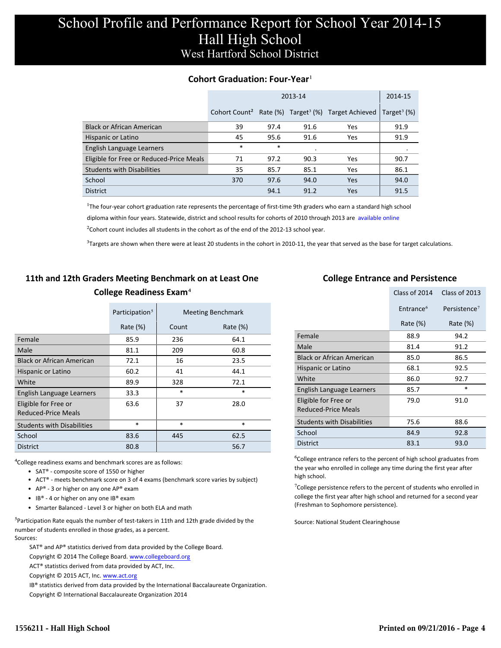### **Cohort Graduation: Four-Year**<sup>1</sup>

|                                          |                           | 2014-15 |      |                                                        |                            |
|------------------------------------------|---------------------------|---------|------|--------------------------------------------------------|----------------------------|
|                                          | Cohort Count <sup>2</sup> |         |      | Rate $(\%)$ Target <sup>3</sup> $(\%)$ Target Achieved | Target <sup>3</sup> $(\%)$ |
| <b>Black or African American</b>         | 39                        | 97.4    | 91.6 | Yes                                                    | 91.9                       |
| Hispanic or Latino                       | 45                        | 95.6    | 91.6 | Yes                                                    | 91.9                       |
| English Language Learners                | *                         | $\ast$  |      |                                                        | ٠                          |
| Eligible for Free or Reduced-Price Meals | 71                        | 97.2    | 90.3 | Yes                                                    | 90.7                       |
| <b>Students with Disabilities</b>        | 35                        | 85.7    | 85.1 | Yes                                                    | 86.1                       |
| School                                   | 370                       | 97.6    | 94.0 | Yes                                                    | 94.0                       |
| <b>District</b>                          |                           | 94.1    | 91.2 | Yes                                                    | 91.5                       |

<sup>1</sup>The four-year cohort graduation rate represents the percentage of first-time 9th graders who earn a standard high school [diploma within four years. Statewide, district and school results for cohorts of 2010 through 2013 are available online.](http://www.sde.ct.gov/sde/cwp/view.asp?a=2758&q=334898)

 $2$ Cohort count includes all students in the cohort as of the end of the 2012-13 school year.

 $3$ Targets are shown when there were at least 20 students in the cohort in 2010-11, the year that served as the base for target calculations.

## **11th and 12th Graders Meeting Benchmark on at Least One College Readiness Exam**⁴

|                                             | Participation <sup>5</sup> |        | <b>Meeting Benchmark</b> |
|---------------------------------------------|----------------------------|--------|--------------------------|
|                                             | Rate $(\%)$                | Count  | Rate $(\%)$              |
| Female                                      | 85.9                       | 236    | 64.1                     |
| Male                                        | 81.1                       | 209    | 60.8                     |
| <b>Black or African American</b>            | 72.1                       | 16     | 23.5                     |
| Hispanic or Latino                          | 60.2                       | 41     | 44.1                     |
| White                                       | 89.9                       | 328    | 72.1                     |
| English Language Learners                   | 33.3                       | $\ast$ | $\ast$                   |
| Eligible for Free or<br>Reduced-Price Meals | 63.6                       | 37     | 28.0                     |
| <b>Students with Disabilities</b>           | $\ast$                     | $\ast$ | $\ast$                   |
| School                                      | 83.6                       | 445    | 62.5                     |
| <b>District</b>                             | 80.8                       |        | 56.7                     |

⁴College readiness exams and benchmark scores are as follows:

- SAT® composite score of 1550 or higher
- ACT® meets benchmark score on 3 of 4 exams (benchmark score varies by subject)
- AP® 3 or higher on any one  $AP^®$  exam
- IB® 4 or higher on any one IB® exam
- Smarter Balanced Level 3 or higher on both ELA and math

 $5$ Participation Rate equals the number of test-takers in 11th and 12th grade divided by the number of students enrolled in those grades, as a percent. Sources:

SAT® and AP® statistics derived from data provided by the College Board.

Copyright © 2014 The College Board. www.collegeboard.org

ACT® statistics derived from data provided by ACT, Inc.

Copyright © 2015 ACT, Inc. www.act.org

IB® statistics derived from data provided by the International Baccalaureate Organization.

Copyright © International Baccalaureate Organization 2014

#### **College Entrance and Persistence**

|                                                    | Class of 2014         | Class of 2013            |
|----------------------------------------------------|-----------------------|--------------------------|
|                                                    | Entrance <sup>6</sup> | Persistence <sup>7</sup> |
|                                                    | Rate $(\%)$           | Rate (%)                 |
| Female                                             | 88.9                  | 94.2                     |
| Male                                               | 81.4                  | 91.2                     |
| <b>Black or African American</b>                   | 85.0                  | 86.5                     |
| Hispanic or Latino                                 | 68.1                  | 92.5                     |
| White                                              | 86.0                  | 92.7                     |
| English Language Learners                          | 85.7                  | $\ast$                   |
| Eligible for Free or<br><b>Reduced-Price Meals</b> | 79.0                  | 91.0                     |
| <b>Students with Disabilities</b>                  | 75.6                  | 88.6                     |
| School                                             | 84.9                  | 92.8                     |
| <b>District</b>                                    | 83.1                  | 93.0                     |

<sup>6</sup>College entrance refers to the percent of high school graduates from the year who enrolled in college any time during the first year after high school.

<sup>7</sup>College persistence refers to the percent of students who enrolled in college the first year after high school and returned for a second year (Freshman to Sophomore persistence).

Source: National Student Clearinghouse